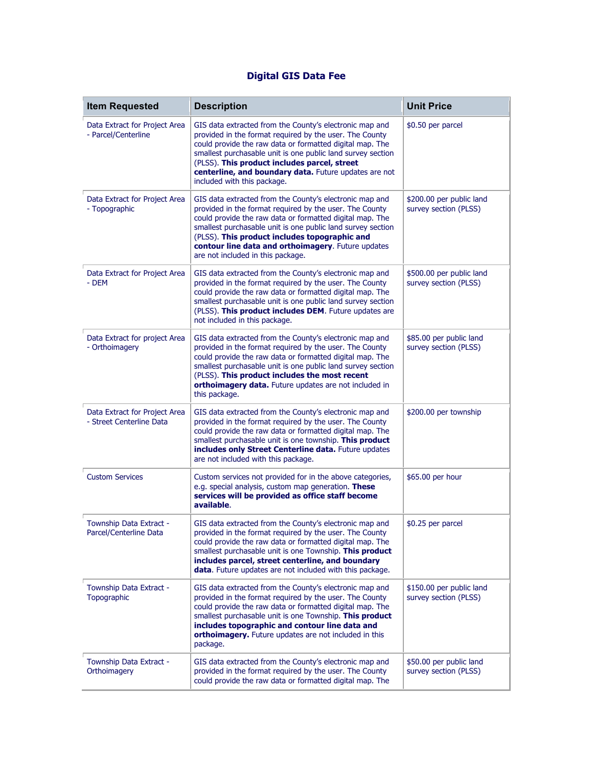## **Digital GIS Data Fee**

| <b>Item Requested</b>                                     | <b>Description</b>                                                                                                                                                                                                                                                                                                                                                                        | <b>Unit Price</b>                                 |
|-----------------------------------------------------------|-------------------------------------------------------------------------------------------------------------------------------------------------------------------------------------------------------------------------------------------------------------------------------------------------------------------------------------------------------------------------------------------|---------------------------------------------------|
| Data Extract for Project Area<br>- Parcel/Centerline      | GIS data extracted from the County's electronic map and<br>provided in the format required by the user. The County<br>could provide the raw data or formatted digital map. The<br>smallest purchasable unit is one public land survey section<br>(PLSS). This product includes parcel, street<br>centerline, and boundary data. Future updates are not<br>included with this package.     | \$0.50 per parcel                                 |
| Data Extract for Project Area<br>- Topographic            | GIS data extracted from the County's electronic map and<br>provided in the format required by the user. The County<br>could provide the raw data or formatted digital map. The<br>smallest purchasable unit is one public land survey section<br>(PLSS). This product includes topographic and<br>contour line data and orthoimagery. Future updates<br>are not included in this package. | \$200.00 per public land<br>survey section (PLSS) |
| Data Extract for Project Area<br>- DEM                    | GIS data extracted from the County's electronic map and<br>provided in the format required by the user. The County<br>could provide the raw data or formatted digital map. The<br>smallest purchasable unit is one public land survey section<br>(PLSS). This product includes DEM. Future updates are<br>not included in this package.                                                   | \$500.00 per public land<br>survey section (PLSS) |
| Data Extract for project Area<br>- Orthoimagery           | GIS data extracted from the County's electronic map and<br>provided in the format required by the user. The County<br>could provide the raw data or formatted digital map. The<br>smallest purchasable unit is one public land survey section<br>(PLSS). This product includes the most recent<br>orthoimagery data. Future updates are not included in<br>this package.                  | \$85.00 per public land<br>survey section (PLSS)  |
| Data Extract for Project Area<br>- Street Centerline Data | GIS data extracted from the County's electronic map and<br>provided in the format required by the user. The County<br>could provide the raw data or formatted digital map. The<br>smallest purchasable unit is one township. This product<br>includes only Street Centerline data. Future updates<br>are not included with this package.                                                  | \$200.00 per township                             |
| <b>Custom Services</b>                                    | Custom services not provided for in the above categories,<br>e.g. special analysis, custom map generation. These<br>services will be provided as office staff become<br>available.                                                                                                                                                                                                        | \$65.00 per hour                                  |
| Township Data Extract -<br>Parcel/Centerline Data         | GIS data extracted from the County's electronic map and<br>provided in the format required by the user. The County<br>could provide the raw data or formatted digital map. The<br>smallest purchasable unit is one Township. This product<br>includes parcel, street centerline, and boundary<br>data. Future updates are not included with this package.                                 | \$0.25 per parcel                                 |
| Township Data Extract -<br>Topographic                    | GIS data extracted from the County's electronic map and<br>provided in the format required by the user. The County<br>could provide the raw data or formatted digital map. The<br>smallest purchasable unit is one Township. This product<br>includes topographic and contour line data and<br>orthoimagery. Future updates are not included in this<br>package.                          | \$150.00 per public land<br>survey section (PLSS) |
| Township Data Extract -<br>Orthoimagery                   | GIS data extracted from the County's electronic map and<br>provided in the format required by the user. The County<br>could provide the raw data or formatted digital map. The                                                                                                                                                                                                            | \$50.00 per public land<br>survey section (PLSS)  |